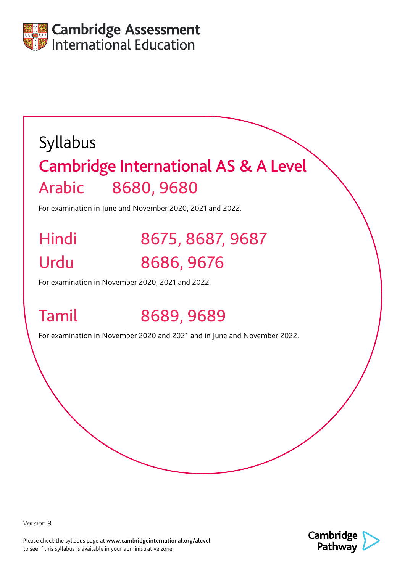

# Syllabus Cambridge International AS & A Level Arabic 8680, 9680

For examination in June and November 2020, 2021 and 2022.

# Hindi 8675, 8687, 9687 Urdu 8686, 9676

For examination in November 2020, 2021 and 2022.

# Tamil 8689, 9689

For examination in November 2020 and 2021 and in June and November 2022.

Version 9

Please check the syllabus page at www.cambridgeinternational.org/alevel to see if this syllabus is available in your administrative zone.

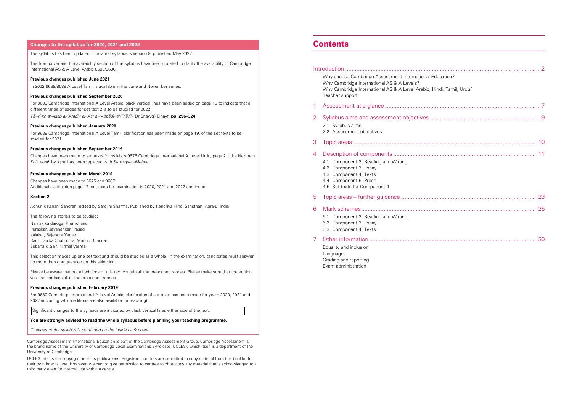### **Contents**

### Introduction [..........................................................................................................................](#page-4-0)2 Why choose Cambridge Assessment International E [Why Cambridge International AS & A Levels?](#page-2-0) Why Cambridge International AS & A Level Arabic, [Teacher support](#page-4-0) 1 Assessment at a glance [.................................................................................................7](#page-4-0) 2 Syllabus aims and assessment objectives. 2.1 [Syllabus aims](#page-5-0) 2.2 [Assessment objectives](#page-5-0) 3 Topic areas [...................................................................................................................10](#page-6-0) 4 Description of components [..........................................................................................11](#page-6-0) 4.1 [Component 2: Reading and Writing](#page-6-0) 4.2 [Component 3: Essay](#page-6-0) 4.3 [Component 4: Texts](#page-7-0) 4.4 [Component 5: Prose](#page-7-0) 4.5 [Set texts for Component 4](#page-7-0) 5 Topic areas – further guidance ..................... 6 [Mark schemes..............................................................................................................25](#page-13-0) 6.1 [Component 2: Reading and Writing](#page-13-0) 6.2 [Component 3: Essay](#page-14-0)  6.3 [Component 4: Texts](#page-15-0)

#### 7 Other information [.........................................................................................................30](#page-16-0)

[Equality and inclusion](#page-16-0) [Language](#page-16-0) [Grading and reporting](#page-16-0) [Exam administration](#page-16-0) 

| Education?          |  |  |
|---------------------|--|--|
| Hindi, Tamil, Urdu? |  |  |
|                     |  |  |
|                     |  |  |
|                     |  |  |
|                     |  |  |
|                     |  |  |
|                     |  |  |

Cambridge Assessment International Education is part of the Cambridge Assessment Group. Cambridge Assessment is the brand name of the University of Cambridge Local Examinations Syndicate (UCLES), which itself is a department of the University of Cambridge.

UCLES retains the copyright on all its publications. Registered centres are permitted to copy material from this booklet for their own internal use. However, we cannot give permission to centres to photocopy any material that is acknowledged to a third party even for internal use within a centre.

### <span id="page-1-0"></span>**Changes to the syllabus for 2020, 2021 and 2022**

The syllabus has been updated. The latest syllabus is version 9, published May 2022.

The front cover and the availability section of the syllabus have been updated to clarify the availability of Cambridge International AS & A Level Arabic 8680/9680.

#### **Previous changes published June 2021**

In 2022 9689/8689 A Level Tamil is available in the June and November series.

#### **Previous changes published September 2020**

For 9680 Cambridge International A Level Arabic, black vertical lines have been added on page 15 to indicate that a different range of pages for set text 2 is to be studied for 2022:

*Ta––rı- -kh al-Adab al-'Arabı- -: al-'Asr al-'Abba–sı- - al-Tha–nı- -*, Dr Shawqı- *-* Dhayf, **pp. 296–324**

#### **Previous changes published January 2020**

For 9689 Cambridge International A Level Tamil, clarification has been made on page 19, of the set texts to be studied for 2021.

#### **Previous changes published September 2019**

Changes have been made to set texts for syllabus 9676 Cambridge International A Level Urdu, page 21: the Nazmein *Khizreraah* by Iqbal has been replaced with *Sarmaya-o-Mehnat*.

#### **Previous changes published March 2019**

Changes have been made to 8675 and 9687: Additional clarification page 17, set texts for examination in 2020, 2021 and 2022 continued

#### **Section 2**

Adhunik Kahani Sangrah, edited by Sarojini Sharma, Published by Kendriya Hindi Sansthan, Agra-5, India

The following stories to be studied:

Namak ka daroga, Premchand Puraskar, Jayshankar Prasad Kalakar, Rajendra Yadav Rani maa ka Chabootra, Mannu Bhandari Subaha ki Sair, Nirmal Varmai

This selection makes up one set text and should be studied as a whole. In the examination, candidates must answer no more than one question on this selection.

Please be aware that not all editions of this text contain all the prescribed stories. Please make sure that the edition you use contains all of the prescribed stories.

#### **Previous changes published February 2019**

For 9680 Cambridge International A Level Arabic, clarification of set texts has been made for years 2020, 2021 and 2022 (including which editions are also available for teaching).

Significant changes to the syllabus are indicated by black vertical lines either side of the text.

**You are strongly advised to read the whole syllabus before planning your teaching programme.**

*Changes to the syllabus is continued on the inside back cover.*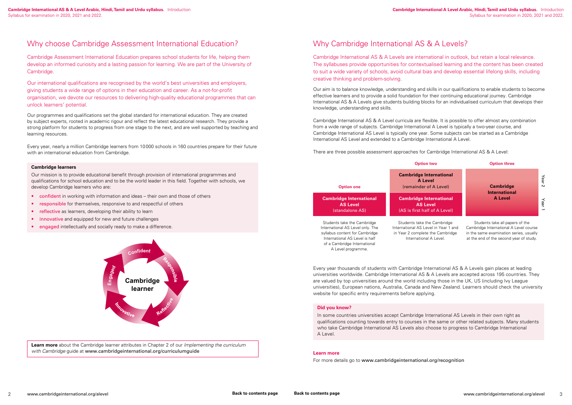### <span id="page-2-0"></span>Why choose Cambridge Assessment International Education?

Cambridge Assessment International Education prepares school students for life, helping them develop an informed curiosity and a lasting passion for learning. We are part of the University of Cambridge.

Our international qualifications are recognised by the world's best universities and employers, giving students a wide range of options in their education and career. As a not-for-profit organisation, we devote our resources to delivering high-quality educational programmes that can unlock learners' potential.

- confident in working with information and ideas their own and those of others
- responsible for themselves, responsive to and respectful of others
- reflective as learners, developing their ability to learn
- innovative and equipped for new and future challenges
- engaged intellectually and socially ready to make a difference.

Our programmes and qualifications set the global standard for international education. They are created by subject experts, rooted in academic rigour and reflect the latest educational research. They provide a strong platform for students to progress from one stage to the next, and are well supported by teaching and learning resources.

Every year, nearly a million Cambridge learners from 10000 schools in 160 countries prepare for their future with an international education from Cambridge.

#### **Cambridge learners**

Our mission is to provide educational benefit through provision of international programmes and qualifications for school education and to be the world leader in this field. Together with schools, we develop Cambridge learners who are:



**Learn more** about the Cambridge learner attributes in Chapter 2 of our *Implementing the curriculum with Cambridge* guide at www.cambridgeinternational.org/curriculumguide

## Why Cambridge International AS & A Levels?

Cambridge International AS & A Levels are international in outlook, but retain a local relevance. The syllabuses provide opportunities for contextualised learning and the content has been created to suit a wide variety of schools, avoid cultural bias and develop essential lifelong skills, including creative thinking and problem-solving.

Our aim is to balance knowledge, understanding and skills in our qualifications to enable students to become effective learners and to provide a solid foundation for their continuing educational journey. Cambridge International AS & A Levels give students building blocks for an individualised curriculum that develops their knowledge, understanding and skills.

Cambridge International AS & A Level curricula are flexible. It is possible to offer almost any combination from a wide range of subjects. Cambridge International A Level is typically a two-year course, and Cambridge International AS Level is typically one year. Some subjects can be started as a Cambridge International AS Level and extended to a Cambridge International A Level.

There are three possible assessment approaches for Cambridge International AS & A Level:

Students take all papers of the Cambridge International A Level course in the same examination series, usually at the end of the second year of study.



A Level programme.

#### **Option two Option three**

Year 2

Year 1

(remainder of A Level) **Cambridge International A Level**

Every year thousands of students with Cambridge International AS & A Levels gain places at leading universities worldwide. Cambridge International AS & A Levels are accepted across 195 countries. They are valued by top universities around the world including those in the UK, US (including Ivy League universities), European nations, Australia, Canada and New Zealand. Learners should check the university website for specific entry requirements before applying.

#### **Did you know?**

In some countries universities accept Cambridge International AS Levels in their own right as qualifications counting towards entry to courses in the same or other related subjects. Many students who take Cambridge International AS Levels also choose to progress to Cambridge International A Level.

#### **Learn more**

For more details go to www.cambridgeinternational.org/recognition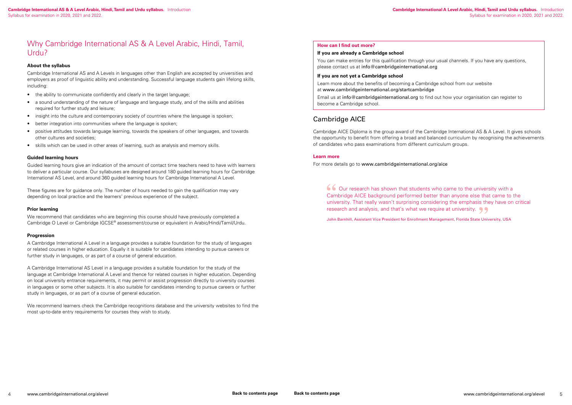You can make entries for this qualification through your usual channels. If you have any questions, please contact us at info@cambridgeinternational.org

#### **How can I find out more?**

#### **If you are already a Cambridge school**

#### **If you are not yet a Cambridge school**

 Our research has shown that students who came to the university with a Cambridge AICE background performed better than anyone else that came to the university. That really wasn't surprising considering the emphasis they have on critical research and analysis, and that's what we require at university.  $\bigcirc$ 

Learn more about the benefits of becoming a Cambridge school from our website at www.cambridgeinternational.org/startcambridge Email us at info@cambridgeinternational.org to find out how your organisation can register to become a Cambridge school.

### Cambridge AICE

Cambridge AICE Diploma is the group award of the Cambridge International AS & A Level. It gives schools the opportunity to benefit from offering a broad and balanced curriculum by recognising the achievements of candidates who pass examinations from different curriculum groups.

#### **Learn more**

For more details go to www.cambridgeinternational.org/aice

John Barnhill, Assistant Vice President for Enrollment Management, Florida State University, USA

### <span id="page-3-0"></span>Why Cambridge International AS & A Level Arabic, Hindi, Tamil, Urdu?

#### **About the syllabus**

Cambridge International AS and A Levels in languages other than English are accepted by universities and employers as proof of linguistic ability and understanding. Successful language students gain lifelong skills, including:

- the ability to communicate confidently and clearly in the target language;
- a sound understanding of the nature of language and language study, and of the skills and abilities required for further study and leisure;
- insight into the culture and contemporary society of countries where the language is spoken;
- better integration into communities where the language is spoken;
- positive attitudes towards language learning, towards the speakers of other languages, and towards other cultures and societies;
- skills which can be used in other areas of learning, such as analysis and memory skills.

#### **Guided learning hours**

Guided learning hours give an indication of the amount of contact time teachers need to have with learners to deliver a particular course. Our syllabuses are designed around 180 guided learning hours for Cambridge International AS Level, and around 360 guided learning hours for Cambridge International A Level.

These figures are for guidance only. The number of hours needed to gain the qualification may vary depending on local practice and the learners' previous experience of the subject.

#### **Prior learning**

We recommend that candidates who are beginning this course should have previously completed a Cambridge O Level or Cambridge IGCSE® assessment/course or equivalent in Arabic/Hindi/Tamil/Urdu.

#### **Progression**

A Cambridge International A Level in a language provides a suitable foundation for the study of languages or related courses in higher education. Equally it is suitable for candidates intending to pursue careers or further study in languages, or as part of a course of general education.

A Cambridge International AS Level in a language provides a suitable foundation for the study of the language at Cambridge International A Level and thence for related courses in higher education. Depending on local university entrance requirements, it may permit or assist progression directly to university courses in languages or some other subjects. It is also suitable for candidates intending to pursue careers or further study in languages, or as part of a course of general education.

We recommend learners check the Cambridge recognitions database and the university websites to find the most up-to-date entry requirements for courses they wish to study.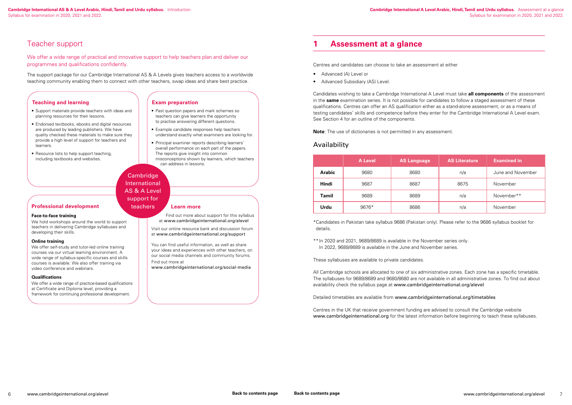**Cambridge International A Level Arabic, Hindi, Tamil and Urdu syllabus.** Assessment at a glance Syllabus for examination in 2020, 2021 and 2022.

### <span id="page-4-0"></span>Teacher support

We offer a wide range of practical and innovative support to help teachers plan and deliver our programmes and qualifications confidently.

The support package for our Cambridge International AS & A Levels gives teachers access to a worldwide teaching community enabling them to connect with other teachers, swap ideas and share best practice.

#### **Learn more**

Find out more about support for this syllabus at www.cambridgeinternational.org/alevel

Visit our online resource bank and discussion forum at www.cambridgeinternational.org/support

You can find useful information, as well as share your ideas and experiences with other teachers, on our social media channels and community forums. Find out more at

www.cambridgeinternational.org/social-media

#### **Teaching and learning**

We offer self-study and tutor-led online training courses via our virtual learning environment. A wide range of syllabus-specific courses and skills courses is available. We also offer training via video conference and webinars.

We offer a wide range of practice-based qualifications at Certificate and Diploma level, providing a framework for continuing professional development.

- Support materials provide teachers with ideas and planning resources for their lessons.
- Endorsed textbooks, ebooks and digital resources are produced by leading publishers. We have quality checked these materials to make sure they provide a high level of support for teachers and learners.
- Resource lists to help support teaching, including textbooks and websites.
- Advanced (A) Level or
- Advanced Subsidiary (AS) Level.

**Exam preparation** • Past question papers and mark schemes so

- teachers can give learners the opportunity to practise answering different questions.
- Example candidate responses help teachers understand exactly what examiners are looking for.
- Principal examiner reports describing learners' overall performance on each part of the papers. The reports give insight into common misconceptions shown by learners, which teachers can address in lessons.

#### **Professional development**

#### **Face-to-face training**

We hold workshops around the world to support teachers in delivering Cambridge syllabuses and developing their skills.

#### **Online training**

#### **Qualifications**

### Cambridge International AS & A Level support for

teachers

### **1 Assessment at a glance**

Centres and candidates can choose to take an assessment at either

Candidates wishing to take a Cambridge International A Level must take **all components** of the assessment in the **same** examination series. It is not possible for candidates to follow a staged assessment of these qualifications. Centres can offer an AS qualification either as a stand-alone assessment, or as a means of testing candidates' skills and competence before they enter for the Cambridge International A Level exam. See Section 4 for an outline of the components.

**Note**: The use of dictionaries is not permitted in any assessment.

### Availability

|               | <b>A Level</b> | <b>AS Language</b> | <b>AS Literature</b> | <b>Examined in</b> |
|---------------|----------------|--------------------|----------------------|--------------------|
| <b>Arabic</b> | 9680           | 8680               | n/a                  | June and November  |
| <b>Hindi</b>  | 9687           | 8687               | 8675                 | November           |
| Tamil         | 9689           | 8689               | n/a                  | November**         |
| Urdu          | 9676*          | 8686               | n/a                  | November           |

\*Candidates in Pakistan take syllabus 9686 (Pakistan only). Please refer to the 9686 syllabus booklet for details.

\*\* In 2020 and 2021, 9689/8689 is available in the November series only. In 2022, 9689/8689 is available in the June and November series.

These syllabuses are available to private candidates.

All Cambridge schools are allocated to one of six administrative zones. Each zone has a specific timetable. The syllabuses for 9689/8689 and 9680/8680 are not available in all administrative zones. To find out about availability check the syllabus page at www.cambridgeinternational.org/alevel

Detailed timetables are available from www.cambridgeinternational.org/timetables

Centres in the UK that receive government funding are advised to consult the Cambridge website www.cambridgeinternational.org for the latest information before beginning to teach these syllabuses.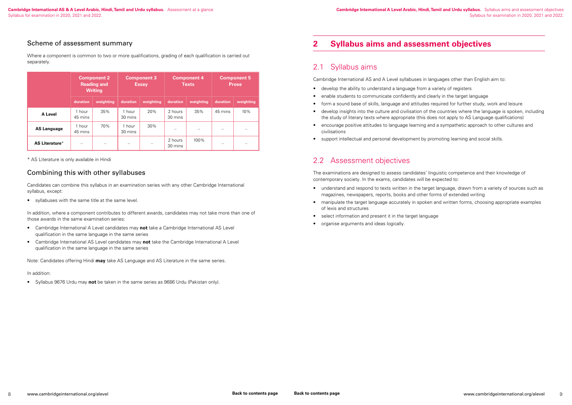### <span id="page-5-0"></span>Scheme of assessment summary

Where a component is common to two or more qualifications, grading of each qualification is carried out separately.

|                    | <b>Component 2</b><br><b>Reading and</b><br><b>Writing</b> |           | <b>Component 3</b><br><b>Essay</b> |           | <b>Component 4</b><br><b>Texts</b> |           | <b>Component 5</b><br><b>Prose</b> |           |
|--------------------|------------------------------------------------------------|-----------|------------------------------------|-----------|------------------------------------|-----------|------------------------------------|-----------|
|                    | duration                                                   | weighting | duration                           | weighting | duration                           | weighting | duration                           | weighting |
| A Level            | 1 hour<br>45 mins                                          | 35%       | 1 hour<br>30 mins                  | 20%       | 2 hours<br>30 mins                 | 35%       | 45 mins                            | 10%       |
| <b>AS Language</b> | 1 hour<br>45 mins                                          | 70%       | 1 hour<br>30 mins                  | 30%       | —                                  |           | $\overline{\phantom{0}}$           |           |
| AS Literature*     |                                                            |           | $\overline{\phantom{m}}$           |           | 2 hours<br>30 mins                 | 100%      |                                    |           |

\* AS Literature is only available in Hindi

### Combining this with other syllabuses

Candidates can combine this syllabus in an examination series with any other Cambridge International syllabus, except:

• syllabuses with the same title at the same level.

In addition, where a component contributes to different awards, candidates may not take more than one of those awards in the same examination series:

- Cambridge International A Level candidates may **not** take a Cambridge International AS Level qualification in the same language in the same series
- Cambridge International AS Level candidates may **not** take the Cambridge International A Level qualification in the same language in the same series

Note: Candidates offering Hindi **may** take AS Language and AS Literature in the same series.

#### In addition:

• Syllabus 9676 Urdu may **not** be taken in the same series as 9686 Urdu (Pakistan only).

## **2 Syllabus aims and assessment objectives**

## 2.1 Syllabus aims

Cambridge International AS and A Level syllabuses in languages other than English aim to:

- develop the ability to understand a language from a variety of registers
- enable students to communicate confidently and clearly in the target language
- form a sound base of skills, language and attitudes required for further study, work and leisure
- develop insights into the culture and civilisation of the countries where the language is spoken, including the study of literary texts where appropriate (this does not apply to AS Language qualifications)
- encourage positive attitudes to language learning and a sympathetic approach to other cultures and civilisations
- support intellectual and personal development by promoting learning and social skills.

## 2.2 Assessment objectives

The examinations are designed to assess candidates' linguistic competence and their knowledge of contemporary society. In the exams, candidates will be expected to:

- understand and respond to texts written in the target language, drawn from a variety of sources such as magazines, newspapers, reports, books and other forms of extended writing
- manipulate the target language accurately in spoken and written forms, choosing appropriate examples of lexis and structures
- select information and present it in the target language
- organise arguments and ideas logically.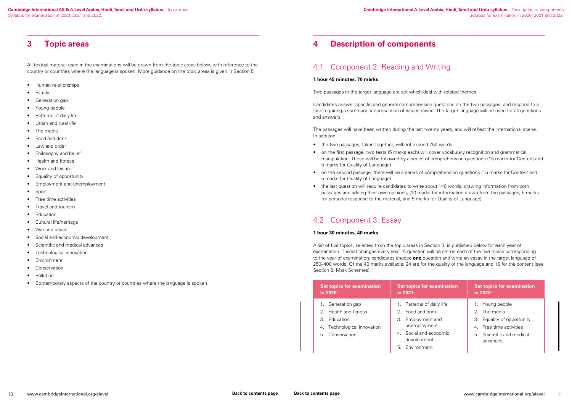### <span id="page-6-0"></span>**3 Topic areas**

All textual material used in the examinations will be drawn from the topic areas below, with reference to the country or countries where the language is spoken. More guidance on the topic areas is given in Section 5.

- Human relationships
- Family
- Generation gap
- Young people
- Patterns of daily life
- Urban and rural life
- The media
- Food and drink
- Law and order
- Philosophy and belief
- Health and fitness
- Work and leisure
- Equality of opportunity
- Employment and unemployment
- Sport
- Free time activities
- Travel and tourism
- **Education**
- Cultural life/heritage
- War and peace
- Social and economic development
- Scientific and medical advances
- Technological innovation
- Environment
- Conservation
- Pollution
- Contemporary aspects of the country or countries where the language is spoken

## **4 Description of components**

### 4.1 Component 2: Reading and Writing

#### **1 hour 45 minutes, 70 marks**

Two passages in the target language are set which deal with related themes.

Candidates answer specific and general comprehension questions on the two passages, and respond to a task requiring a summary or comparison of issues raised. The target language will be used for all questions and answers.

The passages will have been written during the last twenty years, and will reflect the international scene. In addition:

- the two passages, taken together, will not exceed 750 words
- on the first passage, two tests (5 marks each) will cover vocabulary recognition and grammatical manipulation. These will be followed by a series of comprehension questions (15 marks for Content and 5 marks for Quality of Language)
- on the second passage, there will be a series of comprehension questions (15 marks for Content and 5 marks for Quality of Language)
- the last question will require candidates to write about 140 words, drawing information from both passages and adding their own opinions, (10 marks for information drawn from the passages, 5 marks for personal response to the material, and 5 marks for Quality of Language).

## 4.2 Component 3: Essay

### **1 hour 30 minutes, 40 marks**

A list of five topics, selected from the topic areas in Section 3, is published below for each year of examination. The list changes every year. A question will be set on each of the five topics corresponding to the year of examination; candidates choose **one** question and write an essay in the target language of 250–400 words. Of the 40 marks available, 24 are for the quality of the language and 16 for the content (see Section 6, Mark Schemes).

| <b>Set topics for examination</b>                                                                      | <b>Set topics for examination</b>                                                                                                              | <b>Set topics for examination</b>                                                                                                                  |
|--------------------------------------------------------------------------------------------------------|------------------------------------------------------------------------------------------------------------------------------------------------|----------------------------------------------------------------------------------------------------------------------------------------------------|
| in 2020:                                                                                               | in $2021:$                                                                                                                                     | in 2022:                                                                                                                                           |
| Generation gap<br>2. Health and fitness<br>3. Education<br>Technological innovation<br>5. Conservation | 1. Patterns of daily life<br>2. Food and drink<br>3. Employment and<br>unemployment<br>4. Social and economic<br>development<br>5. Environment | Young people<br>1.<br>The media<br>$\mathcal{P}$<br>3. Equality of opportunity<br>4. Free time activities<br>5. Scientific and medical<br>advances |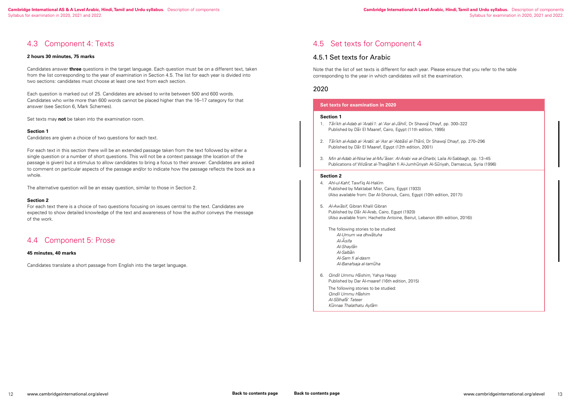#### **Cambridge International A Level Arabic, Hindi, Tamil and Urdu syllabus.** Description of components Syllabus for examination in 2020, 2021 and 2022.

### <span id="page-7-0"></span>4.3 Component 4: Texts

#### **2 hours 30 minutes, 75 marks**

Candidates answer **three** questions in the target language. Each question must be on a different text, taken from the list corresponding to the year of examination in Section 4.5. The list for each year is divided into two sections: candidates must choose at least one text from each section.

Each question is marked out of 25. Candidates are advised to write between 500 and 600 words. Candidates who write more than 600 words cannot be placed higher than the 16–17 category for that answer (see Section 6, Mark Schemes).

Set texts may **not** be taken into the examination room.

#### **Section 1**

Candidates are given a choice of two questions for each text.

For each text in this section there will be an extended passage taken from the text followed by either a single question or a number of short questions. This will not be a context passage (the location of the passage is given) but a stimulus to allow candidates to bring a focus to their answer. Candidates are asked to comment on particular aspects of the passage and/or to indicate how the passage reflects the book as a whole.

The alternative question will be an essay question, similar to those in Section 2.

#### **Section 2**

For each text there is a choice of two questions focusing on issues central to the text. Candidates are expected to show detailed knowledge of the text and awareness of how the author conveys the message of the work.

### 4.4 Component 5: Prose

#### **45 minutes, 40 marks**

Candidates translate a short passage from English into the target language.

### 4.5 Set texts for Component 4

### 4.5.1 Set texts for Arabic

Note that the list of set texts is different for each year. Please ensure that you refer to the table corresponding to the year in which candidates will sit the examination.

### 2020

#### **Set texts for examination in 2020**

#### **Section 1**

- 1. *Tārīkh al-Adab al-'Arabī 1: al-'Asr al-Jāhilī*, Dr Shawqī Dhayf, pp. 300–322 Published by Dar El Maaref, Cairo, Egypt (11th edition, 1995)
- 2. *Ta–rı-kh al-Adab al-'Arabı- : al-'Asr al-'Abba–sı- al-Tha–nı-* , Dr Shawqı- Dhayf, pp. 270–296 Published by Dar El Maaref, Egypt (12th edition, 2001)
- 3. *Min al-Adab al-Nisa'ee al-Mu'aser: Al-Arabi wa al-Gharbi*, Laila Al-Sabbagh, pp. 13–45 Publications of Wizarat al-Thaqafah fi Al-Jumhuriyah Al-Suriyah, Damascus, Syria (1996)

#### **Section 2**

- 4. Ahl-ul-Kahf, Tawfiq Al-Hakim Published by Maktabat Misr, Cairo, Egypt (1933) (Also available from: Dar Al-Shorouk, Cairo, Egypt (10th edition, 2017))
- 5. *Al-Awasif, Gibran Khalil Gibran* Published by Dar Al-Arab, Cairo, Egypt (1920) (Also available from: Hachette Antoine, Beirut, Lebanon (6th edition, 2016))
- The following stories to be studied: *Al-Umum wa dhwa–tuha Al-A– sifa Al-Shayta–n Al-Salba–n Al-Sam fi al-dasm Al-Banafsaja al-tamu–ha*
- 6. *Qindı-l Ummu Ha–shim,* Yahya Haqqi Published by Dar Al-maaref (16th edition, 2015)

The following stories to be studied: *Qindı-l Ummu Ha–shim Al-So–lhafa–' Tateer Ku–nnaa Thalathatu Ayta–m*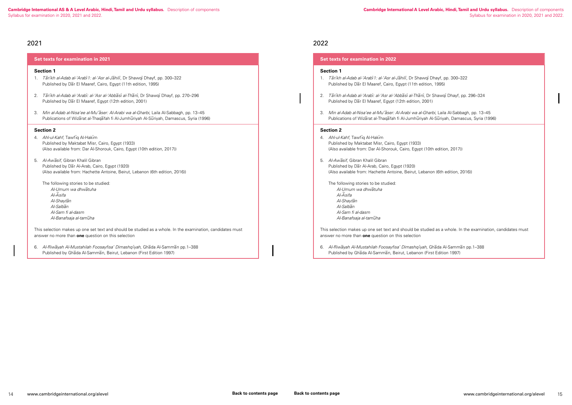2022

#### **Set texts for examination in 2022**

#### **Section 1**

- 1. *Tarikh al-Adab al-'Arabi 1: al-'Asr al-Jahili*, Dr Shawqi Dhayf, pp. 300–322 Published by Dar El Maaref, Cairo, Egypt (11th edition, 1995)
- 2. *Ta–rı-kh al-Adab al-'Arabı- : al-'Asr al-'Abba–sı- al-Tha–nı-* , Dr Shawqı- Dhayf, pp. 296–324 Published by Dar El Maaref, Egypt (12th edition, 2001)
- 3. Min al-Adab al-Nisa'ee al-Mu'aser: Al-Arabi wa al-Gharbi, Laila Al-Sabbagh, pp. 13-45 Publications of Wizarat al-Thaqafah fi Al-Jumhuriyah Al-Suriyah, Damascus, Syria (1996)

- 4. Ahl-ul-Kahf, Tawfiq Al-Hakim Published by Maktabat Misr, Cairo, Egypt (1933) (Also available from: Dar Al-Shorouk, Cairo, Egypt (10th edition, 2017))
- 5. *Al-Awasif, Gibran Khalil Gibran* Published by Dar Al-Arab, Cairo, Egypt (1920) (Also available from: Hachette Antoine, Beirut, Lebanon (6th edition, 2016))
- The following stories to be studied: *Al-Umum wa dhwa–tuha Al-A– sifa Al-Shayta–n Al-Salba–n Al-Sam fi al-dasm Al-Banafsaja al-tamu–ha*

6. *Al-Riwa–yah Al-Mustahilah Foosayfisa' Dimashqı-yah,* Gha–da Al-Samma–n pp.1–388 Published by Ghada Al-Samman, Beirut, Lebanon (First Edition 1997)

#### **Section 2**

- 4. *Ahl-ul-Kahf,* Tawfīq Al-Hakīm Published by Maktabat Misr, Cairo, Egypt (1933) (Also available from: Dar Al-Shorouk, Cairo, Egypt (10th edition, 2017))
- 5. *Al-Awasif, Gibran Khalil Gibran* Published by Dar Al-Arab, Cairo, Egypt (1920) (Also available from: Hachette Antoine, Beirut, Lebanon (6th edition, 2016))
- The following stories to be studied: *Al-Umum wa dhwa–tuha Al-A– sifa Al-Shayta–n Al-Salba–n Al-Sam fi al-dasm Al-Banafsaja al-tamu–ha*

6. *Al-Riwa–yah Al-Mustahilah Foosayfisa' Dimashqı-yah,* Gha–da Al-Samma–n pp.1–388 Published by Ghada Al-Samman, Beirut, Lebanon (First Edition 1997)

This selection makes up one set text and should be studied as a whole. In the examination, candidates must answer no more than **one** question on this selection

### 2021

#### **Set texts for examination in 2021**

#### **Section 1**

- 1. *Tārīkh al-Adab al-'Arabī 1: al-'Asr al-Jāhilī*, Dr Shawqī Dhayf, pp. 300–322 Published by Dar El Maaref, Cairo, Egypt (11th edition, 1995)
- 2. *Ta–rı-kh al-Adab al-'Arabı- : al-'Asr al-'Abba–sı- al-Tha–nı-* , Dr Shawqı- Dhayf, pp. 270–296 Published by Dar El Maaref, Egypt (12th edition, 2001)
- 3. Min al-Adab al-Nisa'ee al-Mu'aser: Al-Arabi wa al-Gharbi, Laila Al-Sabbagh, pp. 13-45 Publications of Wizarat al-Thaqafah fi Al-Jumhuriyah Al-Suriyah, Damascus, Syria (1996)

#### **Section 2**

This selection makes up one set text and should be studied as a whole. In the examination, candidates must answer no more than **one** question on this selection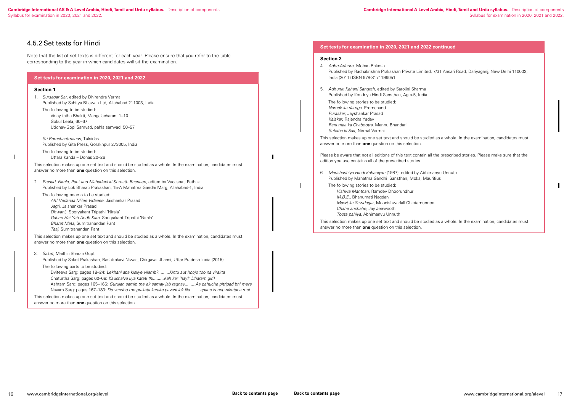**Cambridge International A Level Arabic, Hindi, Tamil and Urdu syllabus.** Description of components Syllabus for examination in 2020, 2021 and 2022.

7/31 Ansari Road, Dariyaganj, New Delhi 110002,

I as a whole. In the examination, candidates must

the prescribed stories. Please make sure that the

 $\mathbf{I}$ 

#### **Set texts for examination in 2020, 2021 and 2022 continued**

#### **Section 2**

 $\blacksquare$ 

| 4. | Adhe-Adhure, Mohan Rakesh<br>Published by Radhakrishna Prakashan Private Limited, 7/31<br>India (2011) ISBN 978-8171199051                                                                                                                                                                                                                    |
|----|-----------------------------------------------------------------------------------------------------------------------------------------------------------------------------------------------------------------------------------------------------------------------------------------------------------------------------------------------|
| 5. | Adhunik Kahani Sangrah, edited by Sarojini Sharma<br>Published by Kendriya Hindi Sansthan, Agra-5, India<br>The following stories to be studied:<br>Namak ka daroga, Premchand<br>Puraskar, Jayshankar Prasad<br>Kalakar, Rajendra Yadav<br>Rani maa ka Chabootra, Mannu Bhandari<br>Subaha ki Sair, Nirmal Varmai                            |
|    | This selection makes up one set text and should be studied as<br>answer no more than <b>one</b> question on this selection.                                                                                                                                                                                                                   |
|    | Please be aware that not all editions of this text contain all the<br>edition you use contains all of the prescribed stories.                                                                                                                                                                                                                 |
| 6. | Marishashiya Hindi Kahaniyan (1987), edited by Abhimanyu<br>Published by Mahatma Gandhi Sansthan, Moka, Mauritius<br>The following stories to be studied:<br>Vishwa Manthan, Ramdev Dhoorundhur<br>M.B.E., Bhanumati Nagdan<br>Mawt ka Sawdagar, Moonishwarlall Chintamunnee<br>Chahe anchahe, Jay Jeewooth<br>Toota pahiya, Abhimanyu Unnuth |
|    | This selection makes up one set text and should be studied as<br>answer no more than <b>one</b> question on this selection.                                                                                                                                                                                                                   |

6. *Marishashiya Hindi Kahaniyan* (1987), edited by Abhimanyu Unnuth

I as a whole. In the examination, candidates must

### 4.5.2 Set texts for Hindi

 $\mathbf{I}$ 

Note that the list of set texts is different for each year. Please ensure that you refer to the table corresponding to the year in which candidates will sit the examination.

| Set texts for examination in 2020, 2021 and 2022                                                                                                                                                                                                                                                                                                                                                                     |  |
|----------------------------------------------------------------------------------------------------------------------------------------------------------------------------------------------------------------------------------------------------------------------------------------------------------------------------------------------------------------------------------------------------------------------|--|
| <b>Section 1</b>                                                                                                                                                                                                                                                                                                                                                                                                     |  |
| Sursagar Sar, edited by Dhirendra Verma<br>$1_{\cdot}$<br>Published by Sahitya Bhawan Ltd, Allahabad 211003, India<br>The following to be studied:                                                                                                                                                                                                                                                                   |  |
| Vinay tatha Bhakti, Mangalacharan, 1-10<br>Gokul Leela, 60-67<br>Uddhav-Gopi Samvad, pahla samvad, 50-57                                                                                                                                                                                                                                                                                                             |  |
| Sri Ramcharitmanas, Tulsidas<br>Published by Gita Press, Gorakhpur 273005, India                                                                                                                                                                                                                                                                                                                                     |  |
| The following to be studied:<br>Uttara Kanda - Dohas 20-26                                                                                                                                                                                                                                                                                                                                                           |  |
| This selection makes up one set text and should be studied as a whole. In the examination, candidates must<br>answer no more than one question on this selection.                                                                                                                                                                                                                                                    |  |
| Prasad, Nirala, Pant and Mahadevi ki Shresth Racnaen, edited by Vacaspati Pathak<br>2.<br>Published by Lok Bharati Prakashan, 15-A Mahatma Gandhi Marg, Allahabad-1, India                                                                                                                                                                                                                                           |  |
| The following poems to be studied:<br>Ah! Vedanaa Milee Vidaaee, Jaishankar Prasad<br>Jagri, Jaishankar Prasad<br>Dhwani, Sooryakant Tripathi 'Nirala'<br>Gahan Hai Yah Andh Kara, Sooryakant Tripathi 'Nirala'<br>Bharat Mata, Sumitranandan Pant<br>Taaj, Sumitranandan Pant                                                                                                                                       |  |
| This selection makes up one set text and should be studied as a whole. In the examination, candidates must<br>answer no more than one question on this selection.                                                                                                                                                                                                                                                    |  |
| Saket, Maithili Sharan Gupt<br>3.<br>Published by Saket Prakashan, Rashtrakavi Niwas, Chirgava, Jhansi, Uttar Pradesh India (2015)                                                                                                                                                                                                                                                                                   |  |
| The following parts to be studied:<br>Dviteeya Sarg: pages 18-24: Lekhani aba kisliye vilamb?Kintu sut hoojo too na virakta<br>Chaturtha Sarg: pages 60-68: Kaushalya kya karati thiKah kar 'hay!' Dharam giri!<br>Ashtam Sarg: pages 165-166: Gurujan samip the ek samay jab raghavAa pahuche pitripad bhi mere<br>Navam Sarg: pages 167-183: Do vansho me prakata karake pavani lok lilaapane is nrip-niketana mei |  |
| This selection makes up one set text and should be studied as a whole. In the examination, candidates must<br>answer no more than <b>one</b> question on this selection.                                                                                                                                                                                                                                             |  |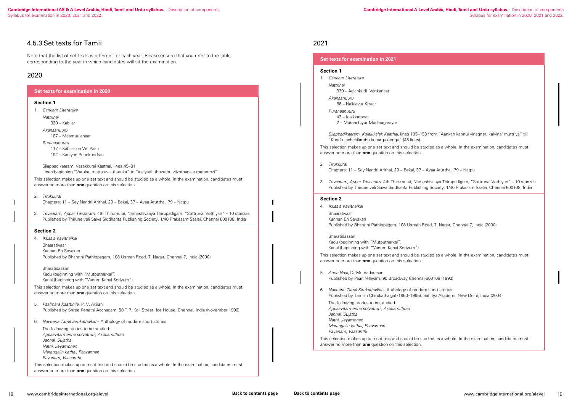### 2021

#### **Set texts for examination in 2021**

#### **Section 1**

1. *Cankam Literature*

*Nattrinai*

330 – AalankudI Vankanaar

*Akanaanuuru*

86 – Nallaavur Kizaar

*Puranaanuuru* 42 – Idaikkatanar 2 – Muranchiyur Mudinagarayar

*Silappadikaaram, Kolaikkalak Kaathai*, lines 105–153 from "Aankan kannul vinagner, kaivinai muttriya" till "Kondru achchilambu konarga eengu" (48 lines)

This selection makes up one set text and should be studied as a whole. In the examination, candidates must answer no more than **one** question on this selection.

2. *Tirukkural*

Chapters: 11 – Sey Nandri Arithal, 23 – Eekai, 37 – Avaa Arutthal, 79 – Natpu

3. *Tevaaram, Appar Tevaaram,* 4th Thirumurai, Namashivaaya Thirupadigam, "Sottrunai Vethiyan" – 10 stanzas, Published by Thirunelveli Saiva Siddhanta Publishing Society, 1/40 Prakasam Saalai, Chennai 600108, India

#### **Section 2**

4. *Ikkaala Kavithaikal*

Bhaaratiyaar Kannan En Sevakan Published by Bharathi Pathippagam, 108 Usman Road, T. Nagar, Chennai 7, India (2000)

Bharatidaasan Kadu (beginning with "Mutputharkal") Kanal (beginning with "Vanum Kanal Soriyum")

This selection makes up one set text and should be studied as a whole. In the examination, candidates must answer no more than **one** question on this selection.

5. *Anda Naal*, Dr Mu Vadarasan Published by Paari Nilayam, 90 Broadway Chennai-600108 (1993)

6. *Naveena Tamil Sirukathaikal* – Anthology of modern short stories Published by Tamizh Chirukathaigal (1960–1995), Sahitya Akademi, New Delhi, India (2004)

The following stories to be studied:

*Appaavitam enna solvathu?, Asokamithran Jannal, Sujatha*

*Nathi, Jeyamohan*

*Marangalin kathai, Paavannan*

*Payanam, Vaasanthi*

This selection makes up one set text and should be studied as a whole. In the examination, candidates must answer no more than **one** question on this selection.

### 4.5.3 Set texts for Tamil

Note that the list of set texts is different for each year. Please ensure that you refer to the table corresponding to the year in which candidates will sit the examination.

### 2020

### **Set texts for examination in 2020 Section 1** 1. *Cankam Literature Nattrinai* 320 – Kabilar *Akanaanuuru* 187 – Maamuulanaar *Puranaanuuru* 117 – Kabilar on Vel Paari 192 – Kaniyan Puunkundran Silappadikaaram, Vazakkurai Kaathai, lines 45–81 Lines beginning "Varuka, matru aval tharuka" to "inaiyadi thozuthu viiznthanale matamozi" This selection makes up one set text and should be studied as a whole. In the examination, candidates must answer no more than **one** question on this selection. 2. *Tirukkural* Chapters: 11 – Sey Nandri Arithal, 23 – Eekai, 37 – Avaa Arutthal, 79 – Natpu 3. *Tevaaram, Appar Tevaaram,* 4th Thirumurai, Namashivaaya Thirupadigam, "Sottrunai Vethiyan" – 10 stanzas, Published by Thirunelveli Saiva Siddhanta Publishing Society, 1/40 Prakasam Saalai, Chennai 600108, India **Section 2** 4. *Ikkaala Kavithaikal* Bhaaratiyaar Kannan En Sevakan Published by Bharathi Pathippagam, 108 Usman Road, T. Nagar, Chennai 7, India (2000) Bharatidaasan Kadu (beginning with "Mutputharkal") Kanal (beginning with "Vanum Kanal Soriyum") This selection makes up one set text and should be studied as a whole. In the examination, candidates must answer no more than **one** question on this selection. 5. *Paalmara Kaattinile*, P. V. Akilan Published by Shree Konathi Acchagam, 58 T.P. Koil Street, Ice House, Chennai, India (November 1990) 6. *Naveena Tamil Sirukathaikal* – Anthology of modern short stories The following stories to be studied: *Appaavitam enna solvathu?, Asokamithran Jannal, Sujatha Nathi, Jeyamohan Marangalin kathai, Paavannan*

*Payanam, Vaasanthi*

This selection makes up one set text and should be studied as a whole. In the examination, candidates must answer no more than **one** question on this selection.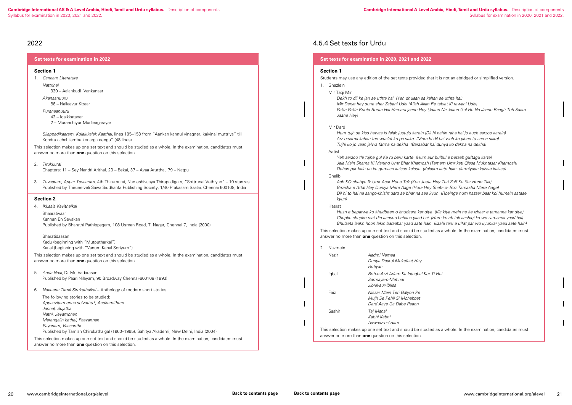ed as a whole. In the examination, candidates must

### 2022

| <b>Set texts for examination in 2022</b> |  |
|------------------------------------------|--|
|                                          |  |

#### **Section 1**

1. *Cankam Literature*

*Nattrinai*

330 – AalankudI Vankanaar

*Akanaanuuru*

86 – Nallaavur Kizaar

*Puranaanuuru*

- 42 Idaikkatanar
- 2 Muranchiyur Mudinagarayar

 *Silappadikaaram, Kolaikkalak Kaathai*, lines 105–153 from "Aankan kannul vinagner, kaivinai muttriya" till Kondru achchilambu konarga eengu" (48 lines)

This selection makes up one set text and should be studied as a whole. In the examination, candidates must answer no more than **one** question on this selection.

2. *Tirukkural*

Chapters: 11 – Sey Nandri Arithal, 23 – Eekai, 37 – Avaa Arutthal, 79 – Natpu

3. *Tevaaram, Appar Tevaaram,* 4th Thirumurai, Namashivaaya Thirupadigam, "Sottrunai Vethiyan" – 10 stanzas, Published by Thirunelveli Saiva Siddhanta Publishing Society, 1/40 Prakasam Saalai, Chennai 600108, India

#### **Section 2**

4. *Ikkaala Kavithaikal*

Bhaaratiyaar Kannan En Sevakan Published by Bharathi Pathippagam, 108 Usman Road, T. Nagar, Chennai 7, India (2000)

Bharatidaasan Kadu (beginning with "Mutputharkal") Kanal (beginning with "Vanum Kanal Soriyum")

This selection makes up one set text and should be studied as a whole. In the examination, candidates must answer no more than **one** question on this selection.

- 5. *Anda Naal*, Dr Mu Vadarasan Published by Paari Nilayam, 90 Broadway Chennai-600108 (1993)
- 6. *Naveena Tamil Sirukathaikal* Anthology of modern short stories
	- The following stories to be studied: *Appaavitam enna solvathu?, Asokamithran Jannal, Sujatha Nathi, Jeyamohan Marangalin kathai, Paavannan Payanam, Vaasanthi* Published by Tamizh Chirukathaigal (1960–1995), Sahitya Akademi, New Delhi, India (2004)

This selection makes up one set text and should be studied as a whole. In the examination, candidates must answer no more than **one** question on this selection.

### 4.5.4 Set texts for Urdu

#### **Set texts for examination in 2020, 2021 and 2022**

#### **Section 1**

Students may use any edition of the set texts provided that it is not an abridged or simplified version. 1. Ghazlein

Mir Taqi Mir

 *Dekh to dil ke jan se uthta hai (Yeh dhuaan sa kahan se uthta hai) Mir Darya hey sune sher Zabani Uski (Allah Allah Re tabiat Ki rawani Uski) Patta Patta Boota Boota Hal Hamara jaane Hey (Jaane Na Jaane Gul He Na Jaane Baagh Toh Saara Jaane Hey)*

Mir Dard

 *Hum tujh se kiss hawas ki falak justuju karein (Dil hi nahin raha hai jo kuch aarzoo karein) Arz o-sama kahan teri wus'at ko pa sake (Mera hi dil hai woh ke jahan tu sama sake) Tujhi ko jo yaan jalwa farma na dekha (Baraabar hai dunya ko dekha na dekha)*

Aatish

 *Yeh aarzoo thi tujhe gul Ke ru baru karte (Hum aur bulbul e betaab guftagu karte) Jala Main Shama Ki Manind Umr Bhar Khamosh (Tamam Umr kati Qissa Mukhtasar Khamosh) Dehan par hain un ke gumaan kaisse kaisse (Kalaam aate hain darmiyaan kaisse kaisse)*

#### Ghalib

 *Aah KO chahye Ik Umr Asar Hone Tak (Kon Jeeta Hey Teri Zulf Ke Sar Hone Tak) Bazicha e Atfal Hey Duniya Mere Aage (Hota Hey Shab- o- Roz Tamasha Mere Aage) Dil hi to hai na sango-khisht dard se bhar na aae kyun (Roeinge hum hazaar baar koi humein sataae kyun)*

#### Hasrat

 *Husn e beparwa ko khudbeen o khudaara kar diya (Kia kiya mein ne ke izhaar e tamanna kar diya) Chupke chupke raat din aansoo bahana yaad hai (Hum ko ab tak aashiqi ka wo zamaana yaad hai) Bhulaata laakh hoon lekin baraabar yaad aate hain (Ilaahi tark e ulfat par wo kyunkar yaad aate hain)* This selection makes up one set text and should be studied as a whole. In the examination, candidates must

answer no more than **one** question on this selection.

| 2. | Nazmein |                                                                                                                               |
|----|---------|-------------------------------------------------------------------------------------------------------------------------------|
|    | Nazir   | Aadmi Namaa<br>Dunya Daarul Mukafaat Hay<br>Rotiyan                                                                           |
|    | lgbal   | Roh-e-Arzi Adam Ka Istaqbal Ker Ti Hei<br>Sarmaya-o-Mehnat<br>Jibrill-aur-Ibliss                                              |
|    | Faiz    | Nissar Mein Teri Galyon Pe<br>Mujh Se Pehli Si Mohabbat<br>Dard Aaye Ga Dabe Paaon                                            |
|    | Saahir  | Taj Mahal<br>Kabhi Kabhi<br>Aawaaz-e-Adam                                                                                     |
|    |         | This selection makes up one set text and should be studied as a<br>answer no more than <b>one</b> question on this selection. |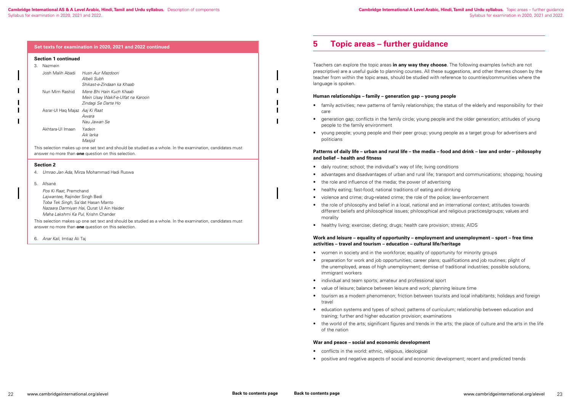<span id="page-12-0"></span>

|                                                                                                                                                                   |                                                                                                                                                                                    | Set texts for examination in 2020, 2021 and 2022 continued                           |  |  |
|-------------------------------------------------------------------------------------------------------------------------------------------------------------------|------------------------------------------------------------------------------------------------------------------------------------------------------------------------------------|--------------------------------------------------------------------------------------|--|--|
|                                                                                                                                                                   | <b>Section 1 continued</b>                                                                                                                                                         |                                                                                      |  |  |
| 3.                                                                                                                                                                | Nazmein                                                                                                                                                                            |                                                                                      |  |  |
|                                                                                                                                                                   | Josh Malih Abadi                                                                                                                                                                   | Husn Aur Mazdoori<br>Albeli Subh<br>Shikast-e-Zindaan ka Khaab                       |  |  |
|                                                                                                                                                                   | Nun Mim Rashid                                                                                                                                                                     | Mere Bhi Hain Kuch Khaab<br>Mein Usay Wakif-e-Ulfat na Karoon<br>Zindagi Se Darte Ho |  |  |
|                                                                                                                                                                   | Asrar-UI Haq Majaz Aaj Ki Raat                                                                                                                                                     | Awara<br>Nau Jawan Se                                                                |  |  |
|                                                                                                                                                                   | Akhtara-Ul Imaan                                                                                                                                                                   | Yadein<br>Aik larka<br>Masjid                                                        |  |  |
| This selection makes up one set text and should be studied as a whole. In the examination, candidates must<br>answer no more than one question on this selection. |                                                                                                                                                                                    |                                                                                      |  |  |
|                                                                                                                                                                   | <b>Section 2</b>                                                                                                                                                                   |                                                                                      |  |  |
| 4.                                                                                                                                                                |                                                                                                                                                                                    | Umrao Jan Ada, Mirza Mohammad Hadi Ruswa                                             |  |  |
| 5.                                                                                                                                                                | Afsané                                                                                                                                                                             |                                                                                      |  |  |
|                                                                                                                                                                   | Pos Ki Raat, Premchand<br>Lajwantee, Rajinder Singh Bedi<br>Toba Tek Singh, Sa'dat Hasan Manto<br>Nazaara Darmiyan Hai, Qurat Ul Ain Haider<br>Maha Lakshmi Ka Pul, Krishn Chander |                                                                                      |  |  |

- daily routine; school; the individual's way of life; living conditions
- advantages and disadvantages of urban and rural life; transport and communications; shopping; housing
- the role and influence of the media; the power of advertising
- healthy eating; fast-food; national traditions of eating and drinking
- violence and crime; drug-related crime; the role of the police; law-enforcement
- the role of philosophy and belief in a local, national and an international context; attitudes towards different beliefs and philosophical issues; philosophical and religious practices/groups; values and morality
- healthy living; exercise; dieting; drugs; health care provision; stress; AIDS

This selection makes up one set text and should be studied as a whole. In the examination, candidates must answer no more than **one** question on this selection.

6. *Anar Kali*, Imtiaz Ali Taj

## **5 Topic areas – further guidance**

Teachers can explore the topic areas **in any way they choose**. The following examples (which are not prescriptive) are a useful guide to planning courses. All these suggestions, and other themes chosen by the teacher from within the topic areas, should be studied with reference to countries/communities where the language is spoken.

### **Human relationships – family – generation gap – young people**

- family activities; new patterns of family relationships; the status of the elderly and responsibility for their care
- generation gap; conflicts in the family circle; young people and the older generation; attitudes of young people to the family environment
- young people; young people and their peer group; young people as a target group for advertisers and politicians

#### **Patterns of daily life – urban and rural life – the media – food and drink – law and order – philosophy and belief – health and fitness**

### **Work and leisure – equality of opportunity – employment and unemployment – sport – free time activities – travel and tourism – education – cultural life/heritage**

- women in society and in the workforce; equality of opportunity for minority groups
- preparation for work and job opportunities; career plans; qualifications and job routines; plight of the unemployed, areas of high unemployment; demise of traditional industries; possible solutions, immigrant workers
- individual and team sports; amateur and professional sport
- value of leisure; balance between leisure and work; planning leisure time
- tourism as a modern phenomenon; friction between tourists and local inhabitants; holidays and foreign travel
- education systems and types of school; patterns of curriculum; relationship between education and training; further and higher education provision; examinations
- the world of the arts; significant figures and trends in the arts; the place of culture and the arts in the life of the nation

### **War and peace – social and economic development**

- conflicts in the world: ethnic, religious, ideological
- positive and negative aspects of social and economic development; recent and predicted trends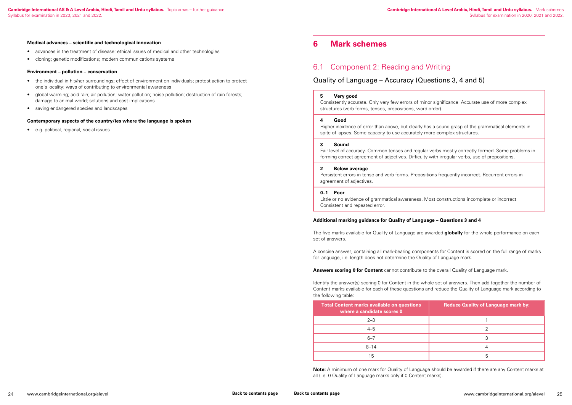#### <span id="page-13-0"></span>**Medical advances – scientific and technological innovation**

- the individual in his/her surroundings; effect of environment on individuals; protest action to protect one's locality; ways of contributing to environmental awareness
- global warming; acid rain; air pollution; water pollution; noise pollution; destruction of rain forests; damage to animal world; solutions and cost implications
- saving endangered species and landscapes
- advances in the treatment of disease; ethical issues of medical and other technologies
- cloning; genetic modifications; modern communications systems

#### **Environment – pollution – conservation**

#### **Contemporary aspects of the country/ies where the language is spoken**

• e.g. political, regional, social issues

### **6 Mark schemes**

## 6.1 Component 2: Reading and Writing

### Quality of Language – Accuracy (Questions 3, 4 and 5)

#### **5 Very good**

Consistently accurate. Only very few errors of minor significance. Accurate use of more complex structures (verb forms, tenses, prepositions, word order).

#### **4 Good**

Higher incidence of error than above, but clearly has a sound grasp of the grammatical elements in spite of lapses. Some capacity to use accurately more complex structures.

#### **3 Sound**

Fair level of accuracy. Common tenses and regular verbs mostly correctly formed. Some problems in forming correct agreement of adjectives. Difficulty with irregular verbs, use of prepositions.

#### **2 Below average**

Persistent errors in tense and verb forms. Prepositions frequently incorrect. Recurrent errors in agreement of adjectives.

#### **0–1 Poor**

Little or no evidence of grammatical awareness. Most constructions incomplete or incorrect. Consistent and repeated error.

### **Additional marking guidance for Quality of Language – Questions 3 and 4**

The five marks available for Quality of Language are awarded **globally** for the whole performance on each set of answers.

A concise answer, containing all mark-bearing components for Content is scored on the full range of marks for language, i.e. length does not determine the Quality of Language mark.

#### **Answers scoring 0 for Content** cannot contribute to the overall Quality of Language mark.

Identify the answer(s) scoring 0 for Content in the whole set of answers. Then add together the number of Content marks available for each of these questions and reduce the Quality of Language mark according to the following table:

| <b>Total Content marks available on questions</b><br>where a candidate scores 0 | <b>Reduce Quality of Language mark by:</b> |
|---------------------------------------------------------------------------------|--------------------------------------------|
| $2 - 3$                                                                         |                                            |
| $4 - 5$                                                                         |                                            |
| $6 - 7$                                                                         | 3                                          |
| $8 - 14$                                                                        |                                            |
| 15                                                                              | 5                                          |

**Note:** A minimum of one mark for Quality of Language should be awarded if there are any Content marks at all (i.e. 0 Quality of Language marks only if 0 Content marks).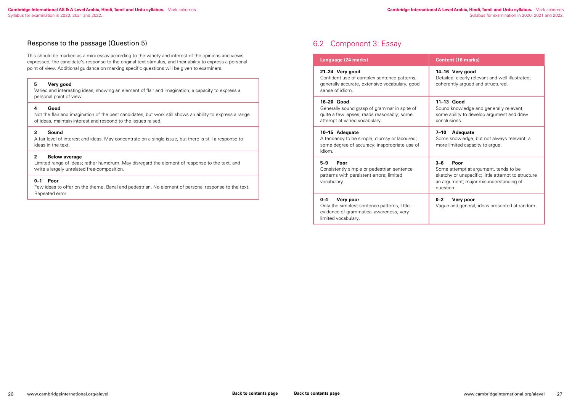### <span id="page-14-0"></span>Response to the passage (Question 5)

This should be marked as a mini-essay according to the variety and interest of the opinions and views expressed, the candidate's response to the original text stimulus, and their ability to express a personal point of view. Additional guidance on marking specific questions will be given to examiners.

### **5 Very good**

Varied and interesting ideas, showing an element of flair and imagination, a capacity to express a personal point of view.

#### **4 Good**

Not the flair and imagination of the best candidates, but work still shows an ability to express a range of ideas, maintain interest and respond to the issues raised.

#### **3 Sound**

A fair level of interest and ideas. May concentrate on a single issue, but there is still a response to ideas in the text.

#### **2 Below average**

Limited range of ideas; rather humdrum. May disregard the element of response to the text, and write a largely unrelated free-composition.

#### **0–1 Poor**

Few ideas to offer on the theme. Banal and pedestrian. No element of personal response to the text. Repeated error.

## 6.2 Component 3: Essay

#### **Language (24 marks) Content (16 marks)**

#### **21–24 Very good**

Confident use of complex sentence patterns, generally accurate, extensive vocabulary, good sense of idiom.

#### **14–16 Very good**

Detailed, clearly relevant and well illustrated; coherently argued and structured.

#### **16–20 Good**

Generally sound grasp of grammar in spite of quite a few lapses; reads reasonably; some attempt at varied vocabulary.

#### **11–13 Good**

Sound knowledge and generally relevant; some ability to develop argument and draw conclusions.

#### **10–15 Adequate**

A tendency to be simple, clumsy or laboured; some degree of accuracy; inappropriate use of idiom.

#### **7–10 Adequate**

Some knowledge, but not always relevant; a more limited capacity to argue.

#### **5–9 Poor**

Consistently simple or pedestrian sentence patterns with persistent errors; limited vocabulary.

### **3–6 Poor**

Some attempt at argument, tends to be sketchy or unspecific; little attempt to structure an argument; major misunderstanding of question.

### **0–4 Very poor**

Only the simplest sentence patterns, little evidence of grammatical awareness, very limited vocabulary.

#### **0–2 Very poor**

Vague and general, ideas presented at random.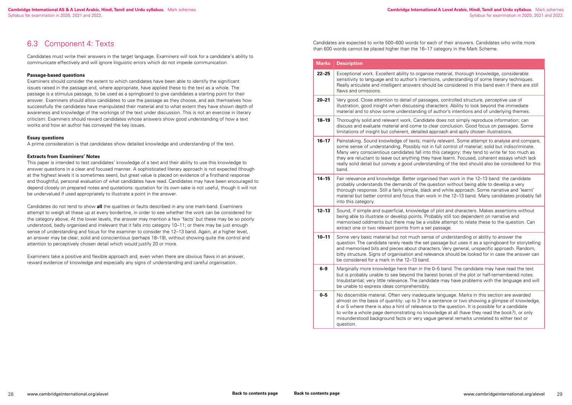$25$  material, thorough knowledge, considerable tions, understanding of some literary techniques. uld be considered in this band even if there are still

### <span id="page-15-0"></span>6.3 Component 4: Texts

Candidates must write their answers in the target language. Examiners will look for a candidate's ability to communicate effectively and will ignore linguistic errors which do not impede communication.

#### **Passage-based questions**

Examiners should consider the extent to which candidates have been able to identify the significant issues raised in the passage and, where appropriate, have applied these to the text as a whole. The passage is a stimulus passage, to be used as a springboard to give candidates a starting point for their answer. Examiners should allow candidates to use the passage as they choose, and ask themselves how successfully the candidates have manipulated their material and to what extent they have shown depth of awareness and knowledge of the workings of the text under discussion. This is not an exercise in literary criticism: Examiners should reward candidates whose answers show good understanding of how a text works and how an author has conveyed the key issues.

#### **Essay questions**

A prime consideration is that candidates show detailed knowledge and understanding of the text.

#### **Extracts from Examiners' Notes**

**20–21** Very good. Close attention to detail of passages, controlled structure, perceptive use of iaracters. Ability to look beyond the immediate of author's intentions and of underlying themes.

Ite does not simply reproduce information: can clear conclusion. Good focus on passages. Some approach and aptly chosen illustrations.

**16–17** Palevant. Some attempt to analyse and compare, in full control of material; solid but indiscriminate. this category: they tend to write far too much as have learnt. Focused, coherent essays which lack anding of the text should also be considered for this

sed than work in the 12–13 band: the candidate uestion without being able to develop a very s and white approach. Some narrative and 'learnt' ork in the 12–13 band. Many candidates probably fall

of plot and characters. Makes assertions without being able to illustrate or dependent on antitude and points. Probably still too dependent on narrative and isible attempt to relate these to the question. Can t passage.

This paper is intended to test candidates' knowledge of a text and their ability to use this knowledge to answer questions in a clear and focused manner. A sophisticated literary approach is not expected (though at the highest levels it is sometimes seen), but great value is placed on evidence of a firsthand response and thoughtful, personal evaluation of what candidates have read. Candidates may have been encouraged to depend closely on prepared notes and quotations: quotation for its own sake is not useful, though it will not be undervalued if used appropriately to illustrate a point in the answer.

Candidates do not tend to show **all** the qualities or faults described in any one mark-band. Examiners attempt to weigh all these up at every borderline, in order to see whether the work can be considered for the category above. At the lower levels, the answer may mention a few 'facts' but these may be so poorly understood, badly organised and irrelevant that it falls into category 10–11; or there may be just enough sense of understanding and focus for the examiner to consider the 12–13 band. Again, at a higher level, an answer may be clear, solid and conscientious (perhaps 18–19), without showing quite the control and attention to perceptively chosen detail which would justify 20 or more.

**10–11** Some very basic material but not much sense of understanding or ability to answer the passage but uses it as a springboard for storytelling cters. Very general, unspecific approach. Random, evance should be looked for in case the answer can

**6** O-5 band. The candidate may have read the text rest bones of the plot or half-remembered notes. idate may have problems with the language and will

Examiners take a positive and flexible approach and, even when there are obvious flaws in an answer, reward evidence of knowledge and especially any signs of understanding and careful organisation.

> **0–5** No discernible material. Often very inadequate language. Marks in this section are awarded al sentence or two showing a glimpse of knowledge, e to the question. It is possible for a candidate writedge at all (have they read the book?), or only jue general remarks unrelated to either text or

Candidates are expected to write 500–600 words for each of their answers. Candidates who write more than 600 words cannot be placed higher than the 16–17 category in the Mark Scheme.

| <b>Marks</b> | <b>Description</b>                                                                                                                                                                                                                                        |
|--------------|-----------------------------------------------------------------------------------------------------------------------------------------------------------------------------------------------------------------------------------------------------------|
| $22 - 25$    | Exceptional work. Excellent ability to organis<br>sensitivity to language and to author's intent<br>Really articulate and intelligent answers shor<br>flaws and omissions.                                                                                |
| $20 - 21$    | Very good. Close attention to detail of passa<br>illustration, good insight when discussing ch<br>material and to show some understanding o                                                                                                               |
| $18 - 19$    | Thoroughly solid and relevant work. Candida<br>discuss and evaluate material and come to c<br>limitations of insight but coherent, detailed a                                                                                                             |
| $16 - 17$    | Painstaking. Sound knowledge of texts; mair<br>some sense of understanding. Possibly not i<br>Many very conscientious candidates fall into<br>they are reluctant to leave out anything they<br>really solid detail but convey a good understa<br>band.    |
| $14 - 15$    | Fair relevance and knowledge. Better organis<br>probably understands the demands of the qu<br>thorough response. Still a fairly simple, black<br>material but better control and focus than we<br>into this category.                                     |
| $12 - 13$    | Sound, if simple and superficial, knowledge<br>being able to illustrate or develop points. Pro<br>memorised oddments but there may be a vi<br>extract one or two relevant points from a set                                                               |
| $10 - 11$    | Some very basic material but not much sens<br>question. The candidate rarely reads the set<br>and memorised bits and pieces about charad<br>bitty structure. Signs of organisation and rele<br>be considered for a mark in the 12-13 band.                |
| $6 - 9$      | Marginally more knowledge here than in the<br>but is probably unable to see beyond the bar<br>Insubstantial; very little relevance. The candio<br>be unable to express ideas comprehensibly.                                                              |
| $0 - 5$      | No discernible material. Often very inadequa<br>almost on the basis of quantity: up to 3 for a<br>4 or 5 where there is also a hint of relevance<br>to write a whole page demonstrating no kno<br>misunderstood background facts or very vag<br>question. |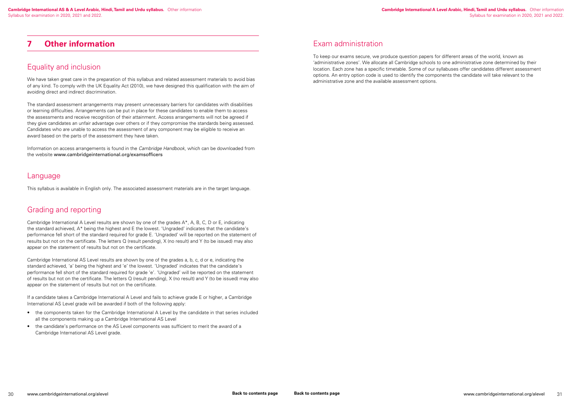We have taken great care in the preparation of this syllabus and related assessment materials to avoid bias of any kind. To comply with the UK Equality Act (2010), we have designed this qualification with the aim of avoiding direct and indirect discrimination.

### <span id="page-16-0"></span>**7 Other information**

### Equality and inclusion

The standard assessment arrangements may present unnecessary barriers for candidates with disabilities or learning difficulties. Arrangements can be put in place for these candidates to enable them to access the assessments and receive recognition of their attainment. Access arrangements will not be agreed if they give candidates an unfair advantage over others or if they compromise the standards being assessed. Candidates who are unable to access the assessment of any component may be eligible to receive an award based on the parts of the assessment they have taken.

Information on access arrangements is found in the *Cambridge Handbook*, which can be downloaded from the website www.cambridgeinternational.org/examsofficers

### Language

This syllabus is available in English only. The associated assessment materials are in the target language.

## Grading and reporting

Cambridge International A Level results are shown by one of the grades A\*, A, B, C, D or E, indicating the standard achieved, A\* being the highest and E the lowest. 'Ungraded' indicates that the candidate's performance fell short of the standard required for grade E. 'Ungraded' will be reported on the statement of results but not on the certificate. The letters Q (result pending), X (no result) and Y (to be issued) may also appear on the statement of results but not on the certificate.

Cambridge International AS Level results are shown by one of the grades a, b, c, d or e, indicating the standard achieved, 'a' being the highest and 'e' the lowest. 'Ungraded' indicates that the candidate's performance fell short of the standard required for grade 'e'. 'Ungraded' will be reported on the statement of results but not on the certificate. The letters Q (result pending), X (no result) and Y (to be issued) may also appear on the statement of results but not on the certificate.

If a candidate takes a Cambridge International A Level and fails to achieve grade E or higher, a Cambridge International AS Level grade will be awarded if both of the following apply:

- the components taken for the Cambridge International A Level by the candidate in that series included all the components making up a Cambridge International AS Level
- the candidate's performance on the AS Level components was sufficient to merit the award of a Cambridge International AS Level grade.

### Exam administration

To keep our exams secure, we produce question papers for different areas of the world, known as 'administrative zones'. We allocate all Cambridge schools to one administrative zone determined by their location. Each zone has a specific timetable. Some of our syllabuses offer candidates different assessment options. An entry option code is used to identify the components the candidate will take relevant to the administrative zone and the available assessment options.